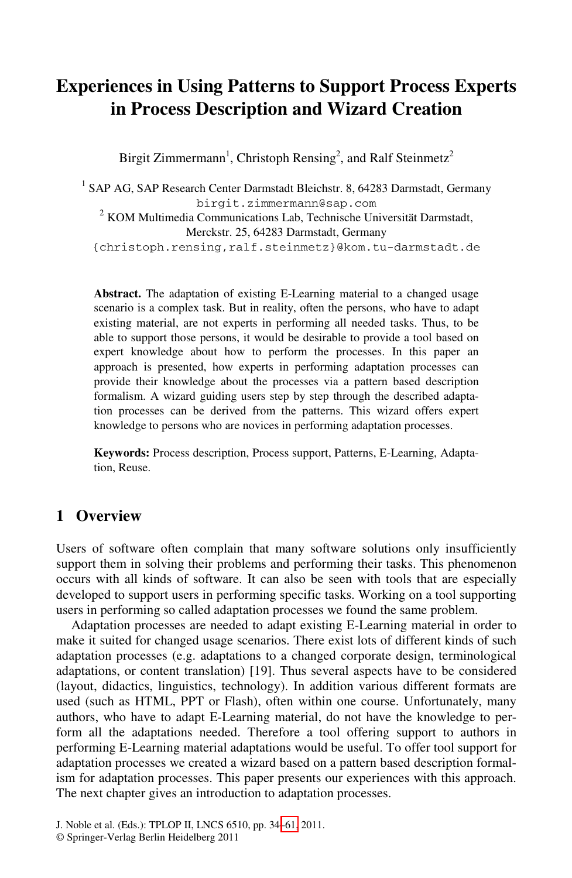# **Experiences in Using Patterns to Support Process Experts in Process Description and Wizard Creation**

Birgit Zimmermann<sup>1</sup>, Christoph Rensing<sup>2</sup>, and Ralf Steinmetz<sup>2</sup>

<sup>1</sup> SAP AG, SAP Research Center Darmstadt Bleichstr. 8, 64283 Darmstadt, Germany  $\begin{array}{l} \texttt{birgit.zimmemann@sap.com} \\ \texttt{2 KOM Multimedia Communications Lab, Techniques} \\ \end{array}$ Merckstr. 25, 64283 Darmstadt, Germany {christoph.rensing,ralf.steinmetz}@kom.tu-darmstadt.de

**Abstract.** The adaptation of existing E-Learning material to a changed usage scenario is a complex task. But in reality, often the persons, who have to adapt existing material, are not experts in performing all needed tasks. Thus, to be able to support those persons, it would be desirable to provide a tool based on expert knowledge about how to perform the processes. In this paper an approach is presented, how experts in performing adaptation processes can provide their knowledge about the processes via a pattern based description formalism. A wizard guiding users step by step through the described adaptation processes can be derived from the patterns. This wizard offers expert knowledge to persons who are novices in performing adaptation processes.

**Keywords:** Process description, Process support, Patterns, E-Learning, Adaptation, Reuse.

# **1 Overview**

Users of software often complain that many software solutions only insufficiently support them in solving their problems and performing their tasks. This phenomenon occurs with all kinds of software. It can also be seen with tools that are especially developed to support users in performing specific tasks. Working on a tool supporting users in performing so called adaptation processes we found the same problem.

Adaptation processes are needed to adapt existing E-Learning material in order to make it suited for changed usage scenarios. There exist lots of different kinds of such adaptation processes (e.g. adaptations to a changed corporate design, terminological adaptations, or content translation) [19]. Thus several aspects have to be considered (layout, didactics, linguistics, technology). In addition various different formats are used (such as HTML, PPT or Flash), often within one course. Unfortunately, many authors, who have to adapt E-Learning material, do not have the knowledge to perform all the adaptations needed. Therefore a tool offering support to authors in performing E-Learning material adaptations would be useful. To offer tool support for adaptation processes we created a wizard based on a pattern based description formalism for adaptation processes. This paper presents our experiences with this approach. The next chapter gives an introduction to adaptation processes.

J. Noble et al. (Eds.): TPLOP II, LNCS 6510, pp. 34[–61,](#page-27-0) 2011.

<sup>©</sup> Springer-Verlag Berlin Heidelberg 2011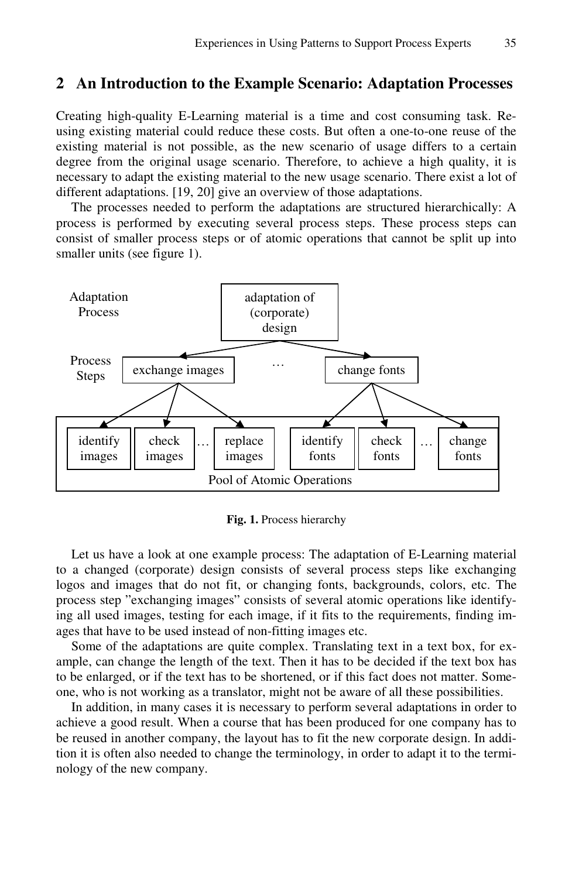## **2 An Introduction to the Example Scenario: Adaptation Processes**

Creating high-quality E-Learning material is a time and cost consuming task. Reusing existing material could reduce these costs. But often a one-to-one reuse of the existing material is not possible, as the new scenario of usage differs to a certain degree from the original usage scenario. Therefore, to achieve a high quality, it is necessary to adapt the existing material to the new usage scenario. There exist a lot of different adaptations. [19, 20] give an overview of those adaptations.

The processes needed to perform the adaptations are structured hierarchically: A process is performed by executing several process steps. These process steps can consist of smaller process steps or of atomic operations that cannot be split up into smaller units (see figure 1).



**Fig. 1.** Process hierarchy

Let us have a look at one example process: The adaptation of E-Learning material to a changed (corporate) design consists of several process steps like exchanging logos and images that do not fit, or changing fonts, backgrounds, colors, etc. The process step "exchanging images" consists of several atomic operations like identifying all used images, testing for each image, if it fits to the requirements, finding images that have to be used instead of non-fitting images etc.

Some of the adaptations are quite complex. Translating text in a text box, for example, can change the length of the text. Then it has to be decided if the text box has to be enlarged, or if the text has to be shortened, or if this fact does not matter. Someone, who is not working as a translator, might not be aware of all these possibilities.

In addition, in many cases it is necessary to perform several adaptations in order to achieve a good result. When a course that has been produced for one company has to be reused in another company, the layout has to fit the new corporate design. In addition it is often also needed to change the terminology, in order to adapt it to the terminology of the new company.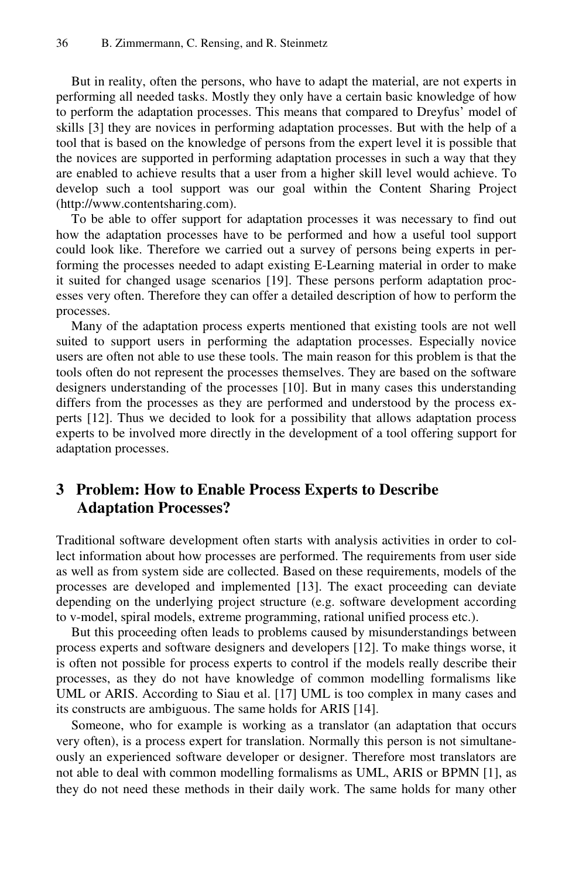But in reality, often the persons, who have to adapt the material, are not experts in performing all needed tasks. Mostly they only have a certain basic knowledge of how to perform the adaptation processes. This means that compared to Dreyfus' model of skills [3] they are novices in performing adaptation processes. But with the help of a tool that is based on the knowledge of persons from the expert level it is possible that the novices are supported in performing adaptation processes in such a way that they are enabled to achieve results that a user from a higher skill level would achieve. To develop such a tool support was our goal within the Content Sharing Project (http://www.contentsharing.com).

To be able to offer support for adaptation processes it was necessary to find out how the adaptation processes have to be performed and how a useful tool support could look like. Therefore we carried out a survey of persons being experts in performing the processes needed to adapt existing E-Learning material in order to make it suited for changed usage scenarios [19]. These persons perform adaptation processes very often. Therefore they can offer a detailed description of how to perform the processes.

Many of the adaptation process experts mentioned that existing tools are not well suited to support users in performing the adaptation processes. Especially novice users are often not able to use these tools. The main reason for this problem is that the tools often do not represent the processes themselves. They are based on the software designers understanding of the processes [10]. But in many cases this understanding differs from the processes as they are performed and understood by the process experts [12]. Thus we decided to look for a possibility that allows adaptation process experts to be involved more directly in the development of a tool offering support for adaptation processes.

# **3 Problem: How to Enable Process Experts to Describe Adaptation Processes?**

Traditional software development often starts with analysis activities in order to collect information about how processes are performed. The requirements from user side as well as from system side are collected. Based on these requirements, models of the processes are developed and implemented [13]. The exact proceeding can deviate depending on the underlying project structure (e.g. software development according to v-model, spiral models, extreme programming, rational unified process etc.).

But this proceeding often leads to problems caused by misunderstandings between process experts and software designers and developers [12]. To make things worse, it is often not possible for process experts to control if the models really describe their processes, as they do not have knowledge of common modelling formalisms like UML or ARIS. According to Siau et al. [17] UML is too complex in many cases and its constructs are ambiguous. The same holds for ARIS [14].

Someone, who for example is working as a translator (an adaptation that occurs very often), is a process expert for translation. Normally this person is not simultaneously an experienced software developer or designer. Therefore most translators are not able to deal with common modelling formalisms as UML, ARIS or BPMN [1], as they do not need these methods in their daily work. The same holds for many other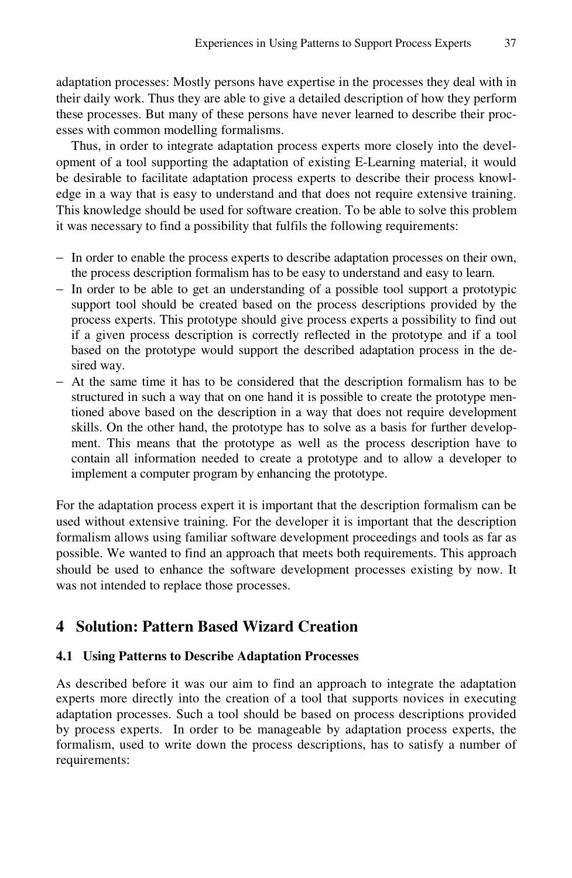adaptation processes: Mostly persons have expertise in the processes they deal with in their daily work. Thus they are able to give a detailed description of how they perform these processes. But many of these persons have never learned to describe their processes with common modelling formalisms.

Thus, in order to integrate adaptation process experts more closely into the development of a tool supporting the adaptation of existing E-Learning material, it would be desirable to facilitate adaptation process experts to describe their process knowledge in a way that is easy to understand and that does not require extensive training. This knowledge should be used for software creation. To be able to solve this problem it was necessary to find a possibility that fulfils the following requirements:

- − In order to enable the process experts to describe adaptation processes on their own, the process description formalism has to be easy to understand and easy to learn.
- − In order to be able to get an understanding of a possible tool support a prototypic support tool should be created based on the process descriptions provided by the process experts. This prototype should give process experts a possibility to find out if a given process description is correctly reflected in the prototype and if a tool based on the prototype would support the described adaptation process in the desired way.
- − At the same time it has to be considered that the description formalism has to be structured in such a way that on one hand it is possible to create the prototype mentioned above based on the description in a way that does not require development skills. On the other hand, the prototype has to solve as a basis for further development. This means that the prototype as well as the process description have to contain all information needed to create a prototype and to allow a developer to implement a computer program by enhancing the prototype.

For the adaptation process expert it is important that the description formalism can be used without extensive training. For the developer it is important that the description formalism allows using familiar software development proceedings and tools as far as possible. We wanted to find an approach that meets both requirements. This approach should be used to enhance the software development processes existing by now. It was not intended to replace those processes.

# **4 Solution: Pattern Based Wizard Creation**

#### **4.1 Using Patterns to Describe Adaptation Processes**

As described before it was our aim to find an approach to integrate the adaptation experts more directly into the creation of a tool that supports novices in executing adaptation processes. Such a tool should be based on process descriptions provided by process experts. In order to be manageable by adaptation process experts, the formalism, used to write down the process descriptions, has to satisfy a number of requirements: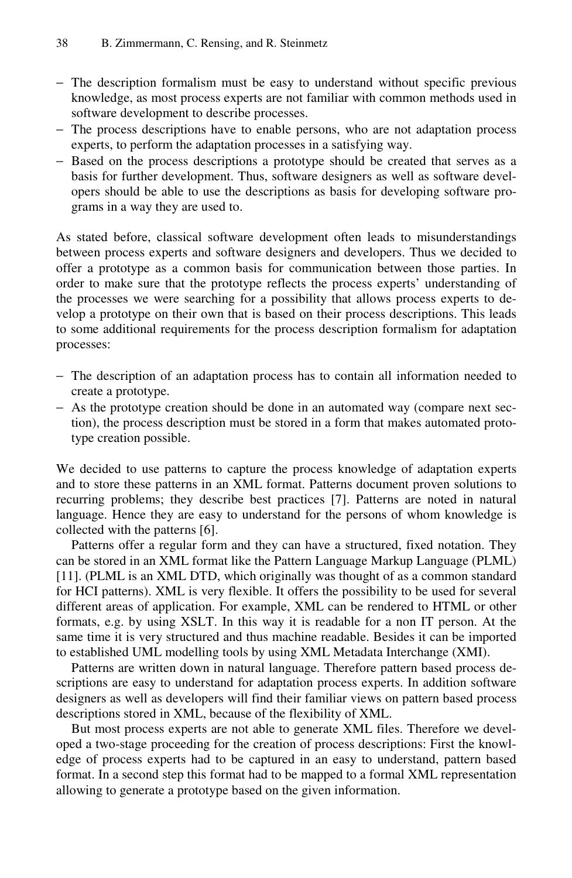- − The description formalism must be easy to understand without specific previous knowledge, as most process experts are not familiar with common methods used in software development to describe processes.
- − The process descriptions have to enable persons, who are not adaptation process experts, to perform the adaptation processes in a satisfying way.
- − Based on the process descriptions a prototype should be created that serves as a basis for further development. Thus, software designers as well as software developers should be able to use the descriptions as basis for developing software programs in a way they are used to.

As stated before, classical software development often leads to misunderstandings between process experts and software designers and developers. Thus we decided to offer a prototype as a common basis for communication between those parties. In order to make sure that the prototype reflects the process experts' understanding of the processes we were searching for a possibility that allows process experts to develop a prototype on their own that is based on their process descriptions. This leads to some additional requirements for the process description formalism for adaptation processes:

- − The description of an adaptation process has to contain all information needed to create a prototype.
- − As the prototype creation should be done in an automated way (compare next section), the process description must be stored in a form that makes automated prototype creation possible.

We decided to use patterns to capture the process knowledge of adaptation experts and to store these patterns in an XML format. Patterns document proven solutions to recurring problems; they describe best practices [7]. Patterns are noted in natural language. Hence they are easy to understand for the persons of whom knowledge is collected with the patterns [6].

Patterns offer a regular form and they can have a structured, fixed notation. They can be stored in an XML format like the Pattern Language Markup Language (PLML) [11]. (PLML is an XML DTD, which originally was thought of as a common standard for HCI patterns). XML is very flexible. It offers the possibility to be used for several different areas of application. For example, XML can be rendered to HTML or other formats, e.g. by using XSLT. In this way it is readable for a non IT person. At the same time it is very structured and thus machine readable. Besides it can be imported to established UML modelling tools by using XML Metadata Interchange (XMI).

Patterns are written down in natural language. Therefore pattern based process descriptions are easy to understand for adaptation process experts. In addition software designers as well as developers will find their familiar views on pattern based process descriptions stored in XML, because of the flexibility of XML.

But most process experts are not able to generate XML files. Therefore we developed a two-stage proceeding for the creation of process descriptions: First the knowledge of process experts had to be captured in an easy to understand, pattern based format. In a second step this format had to be mapped to a formal XML representation allowing to generate a prototype based on the given information.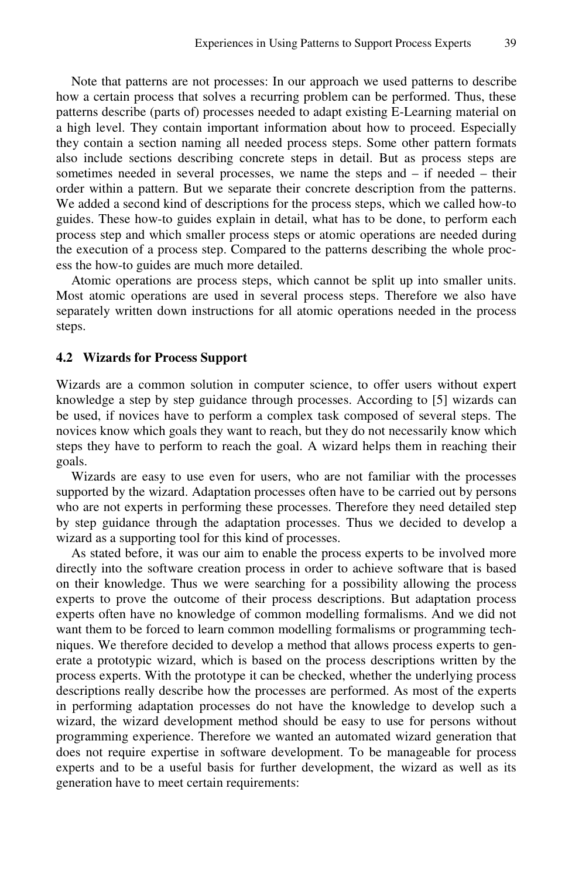Note that patterns are not processes: In our approach we used patterns to describe how a certain process that solves a recurring problem can be performed. Thus, these patterns describe (parts of) processes needed to adapt existing E-Learning material on a high level. They contain important information about how to proceed. Especially they contain a section naming all needed process steps. Some other pattern formats also include sections describing concrete steps in detail. But as process steps are sometimes needed in several processes, we name the steps and  $-$  if needed  $-$  their order within a pattern. But we separate their concrete description from the patterns. We added a second kind of descriptions for the process steps, which we called how-to guides. These how-to guides explain in detail, what has to be done, to perform each process step and which smaller process steps or atomic operations are needed during the execution of a process step. Compared to the patterns describing the whole process the how-to guides are much more detailed.

Atomic operations are process steps, which cannot be split up into smaller units. Most atomic operations are used in several process steps. Therefore we also have separately written down instructions for all atomic operations needed in the process steps.

#### **4.2 Wizards for Process Support**

Wizards are a common solution in computer science, to offer users without expert knowledge a step by step guidance through processes. According to [5] wizards can be used, if novices have to perform a complex task composed of several steps. The novices know which goals they want to reach, but they do not necessarily know which steps they have to perform to reach the goal. A wizard helps them in reaching their goals.

Wizards are easy to use even for users, who are not familiar with the processes supported by the wizard. Adaptation processes often have to be carried out by persons who are not experts in performing these processes. Therefore they need detailed step by step guidance through the adaptation processes. Thus we decided to develop a wizard as a supporting tool for this kind of processes.

As stated before, it was our aim to enable the process experts to be involved more directly into the software creation process in order to achieve software that is based on their knowledge. Thus we were searching for a possibility allowing the process experts to prove the outcome of their process descriptions. But adaptation process experts often have no knowledge of common modelling formalisms. And we did not want them to be forced to learn common modelling formalisms or programming techniques. We therefore decided to develop a method that allows process experts to generate a prototypic wizard, which is based on the process descriptions written by the process experts. With the prototype it can be checked, whether the underlying process descriptions really describe how the processes are performed. As most of the experts in performing adaptation processes do not have the knowledge to develop such a wizard, the wizard development method should be easy to use for persons without programming experience. Therefore we wanted an automated wizard generation that does not require expertise in software development. To be manageable for process experts and to be a useful basis for further development, the wizard as well as its generation have to meet certain requirements: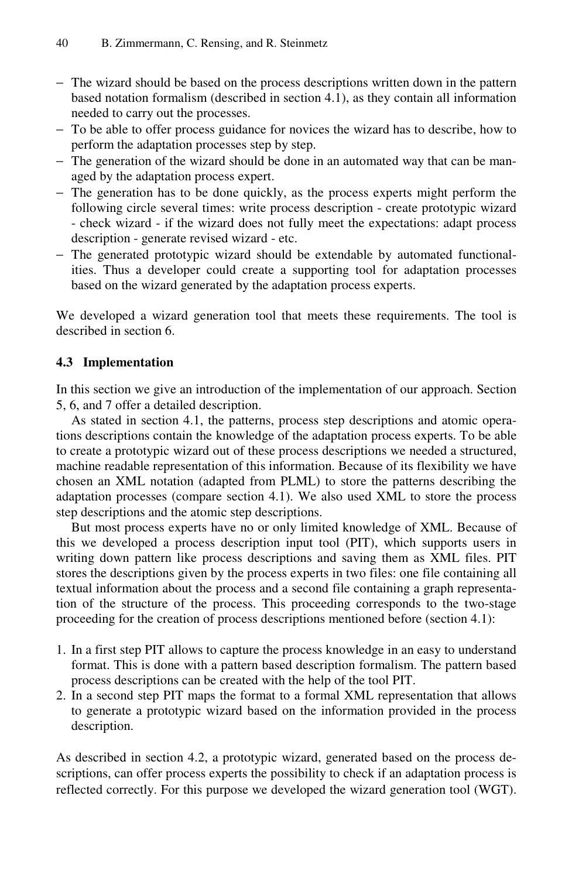- − The wizard should be based on the process descriptions written down in the pattern based notation formalism (described in section 4.1), as they contain all information needed to carry out the processes.
- − To be able to offer process guidance for novices the wizard has to describe, how to perform the adaptation processes step by step.
- − The generation of the wizard should be done in an automated way that can be managed by the adaptation process expert.
- − The generation has to be done quickly, as the process experts might perform the following circle several times: write process description - create prototypic wizard - check wizard - if the wizard does not fully meet the expectations: adapt process description - generate revised wizard - etc.
- − The generated prototypic wizard should be extendable by automated functionalities. Thus a developer could create a supporting tool for adaptation processes based on the wizard generated by the adaptation process experts.

We developed a wizard generation tool that meets these requirements. The tool is described in section 6.

### **4.3 Implementation**

In this section we give an introduction of the implementation of our approach. Section 5, 6, and 7 offer a detailed description.

As stated in section 4.1, the patterns, process step descriptions and atomic operations descriptions contain the knowledge of the adaptation process experts. To be able to create a prototypic wizard out of these process descriptions we needed a structured, machine readable representation of this information. Because of its flexibility we have chosen an XML notation (adapted from PLML) to store the patterns describing the adaptation processes (compare section 4.1). We also used XML to store the process step descriptions and the atomic step descriptions.

But most process experts have no or only limited knowledge of XML. Because of this we developed a process description input tool (PIT), which supports users in writing down pattern like process descriptions and saving them as XML files. PIT stores the descriptions given by the process experts in two files: one file containing all textual information about the process and a second file containing a graph representation of the structure of the process. This proceeding corresponds to the two-stage proceeding for the creation of process descriptions mentioned before (section 4.1):

- 1. In a first step PIT allows to capture the process knowledge in an easy to understand format. This is done with a pattern based description formalism. The pattern based process descriptions can be created with the help of the tool PIT.
- 2. In a second step PIT maps the format to a formal XML representation that allows to generate a prototypic wizard based on the information provided in the process description.

As described in section 4.2, a prototypic wizard, generated based on the process descriptions, can offer process experts the possibility to check if an adaptation process is reflected correctly. For this purpose we developed the wizard generation tool (WGT).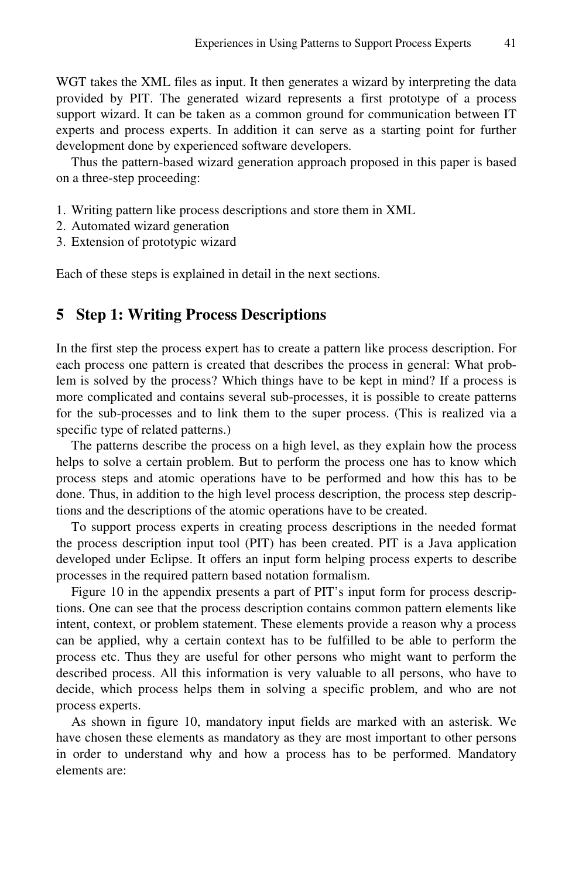WGT takes the XML files as input. It then generates a wizard by interpreting the data provided by PIT. The generated wizard represents a first prototype of a process support wizard. It can be taken as a common ground for communication between IT experts and process experts. In addition it can serve as a starting point for further development done by experienced software developers.

Thus the pattern-based wizard generation approach proposed in this paper is based on a three-step proceeding:

- 1. Writing pattern like process descriptions and store them in XML
- 2. Automated wizard generation
- 3. Extension of prototypic wizard

Each of these steps is explained in detail in the next sections.

## **5 Step 1: Writing Process Descriptions**

In the first step the process expert has to create a pattern like process description. For each process one pattern is created that describes the process in general: What problem is solved by the process? Which things have to be kept in mind? If a process is more complicated and contains several sub-processes, it is possible to create patterns for the sub-processes and to link them to the super process. (This is realized via a specific type of related patterns.)

The patterns describe the process on a high level, as they explain how the process helps to solve a certain problem. But to perform the process one has to know which process steps and atomic operations have to be performed and how this has to be done. Thus, in addition to the high level process description, the process step descriptions and the descriptions of the atomic operations have to be created.

To support process experts in creating process descriptions in the needed format the process description input tool (PIT) has been created. PIT is a Java application developed under Eclipse. It offers an input form helping process experts to describe processes in the required pattern based notation formalism.

Figure 10 in the appendix presents a part of PIT's input form for process descriptions. One can see that the process description contains common pattern elements like intent, context, or problem statement. These elements provide a reason why a process can be applied, why a certain context has to be fulfilled to be able to perform the process etc. Thus they are useful for other persons who might want to perform the described process. All this information is very valuable to all persons, who have to decide, which process helps them in solving a specific problem, and who are not process experts.

As shown in figure 10, mandatory input fields are marked with an asterisk. We have chosen these elements as mandatory as they are most important to other persons in order to understand why and how a process has to be performed. Mandatory elements are: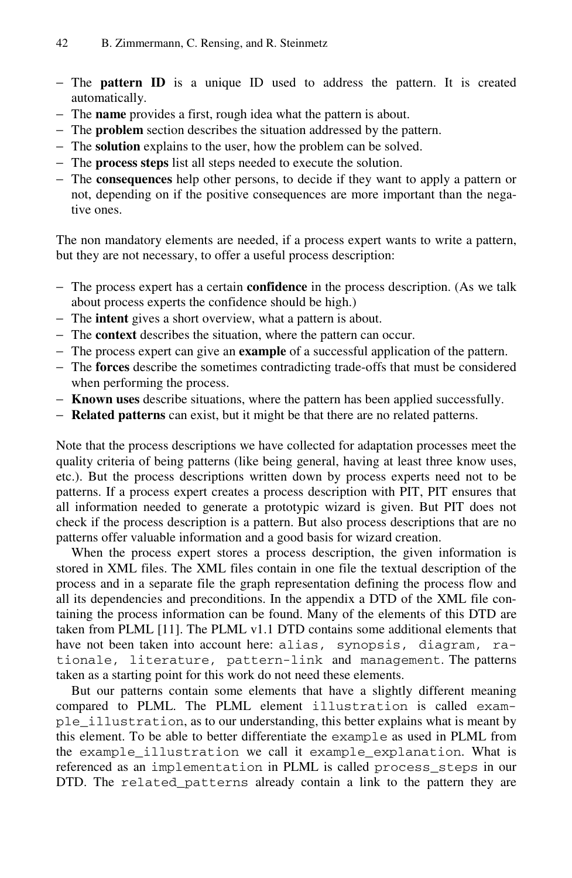- − The **pattern ID** is a unique ID used to address the pattern. It is created automatically.
- − The **name** provides a first, rough idea what the pattern is about.
- − The **problem** section describes the situation addressed by the pattern.
- − The **solution** explains to the user, how the problem can be solved.
- − The **process steps** list all steps needed to execute the solution.
- − The **consequences** help other persons, to decide if they want to apply a pattern or not, depending on if the positive consequences are more important than the negative ones.

The non mandatory elements are needed, if a process expert wants to write a pattern, but they are not necessary, to offer a useful process description:

- − The process expert has a certain **confidence** in the process description. (As we talk about process experts the confidence should be high.)
- − The **intent** gives a short overview, what a pattern is about.
- − The **context** describes the situation, where the pattern can occur.
- − The process expert can give an **example** of a successful application of the pattern.
- − The **forces** describe the sometimes contradicting trade-offs that must be considered when performing the process.
- − **Known uses** describe situations, where the pattern has been applied successfully.
- − **Related patterns** can exist, but it might be that there are no related patterns.

Note that the process descriptions we have collected for adaptation processes meet the quality criteria of being patterns (like being general, having at least three know uses, etc.). But the process descriptions written down by process experts need not to be patterns. If a process expert creates a process description with PIT, PIT ensures that all information needed to generate a prototypic wizard is given. But PIT does not check if the process description is a pattern. But also process descriptions that are no patterns offer valuable information and a good basis for wizard creation.

When the process expert stores a process description, the given information is stored in XML files. The XML files contain in one file the textual description of the process and in a separate file the graph representation defining the process flow and all its dependencies and preconditions. In the appendix a DTD of the XML file containing the process information can be found. Many of the elements of this DTD are taken from PLML [11]. The PLML v1.1 DTD contains some additional elements that have not been taken into account here: alias, synopsis, diagram, rationale, literature, pattern-link and management. The patterns taken as a starting point for this work do not need these elements.

But our patterns contain some elements that have a slightly different meaning compared to PLML. The PLML element illustration is called example\_illustration, as to our understanding, this better explains what is meant by this element. To be able to better differentiate the example as used in PLML from the example\_illustration we call it example\_explanation. What is referenced as an implementation in PLML is called process\_steps in our DTD. The related\_patterns already contain a link to the pattern they are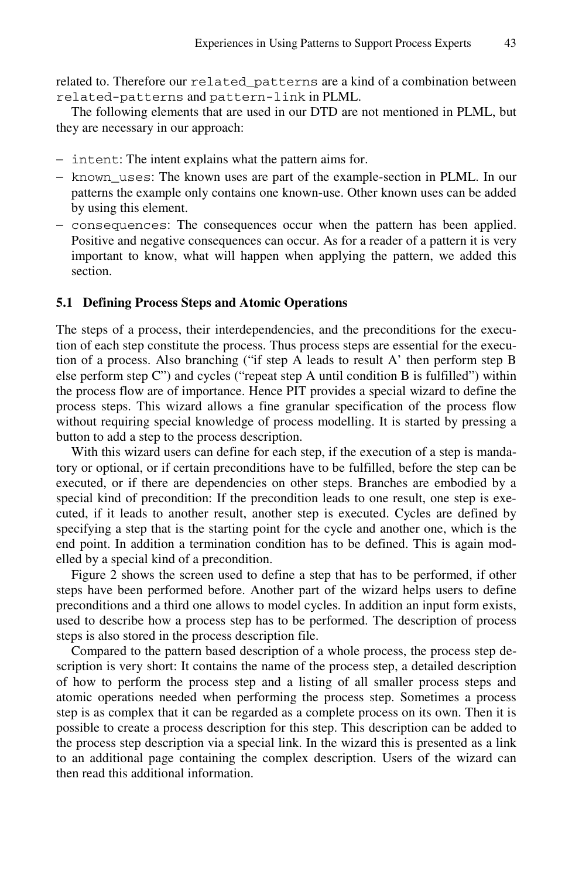related to. Therefore our related\_patterns are a kind of a combination between related-patterns and pattern-link in PLML.

The following elements that are used in our DTD are not mentioned in PLML, but they are necessary in our approach:

- − intent: The intent explains what the pattern aims for.
- − known\_uses: The known uses are part of the example-section in PLML. In our patterns the example only contains one known-use. Other known uses can be added by using this element.
- − consequences: The consequences occur when the pattern has been applied. Positive and negative consequences can occur. As for a reader of a pattern it is very important to know, what will happen when applying the pattern, we added this section.

#### **5.1 Defining Process Steps and Atomic Operations**

The steps of a process, their interdependencies, and the preconditions for the execution of each step constitute the process. Thus process steps are essential for the execution of a process. Also branching ("if step A leads to result A' then perform step B else perform step C") and cycles ("repeat step A until condition B is fulfilled") within the process flow are of importance. Hence PIT provides a special wizard to define the process steps. This wizard allows a fine granular specification of the process flow without requiring special knowledge of process modelling. It is started by pressing a button to add a step to the process description.

With this wizard users can define for each step, if the execution of a step is mandatory or optional, or if certain preconditions have to be fulfilled, before the step can be executed, or if there are dependencies on other steps. Branches are embodied by a special kind of precondition: If the precondition leads to one result, one step is executed, if it leads to another result, another step is executed. Cycles are defined by specifying a step that is the starting point for the cycle and another one, which is the end point. In addition a termination condition has to be defined. This is again modelled by a special kind of a precondition.

Figure 2 shows the screen used to define a step that has to be performed, if other steps have been performed before. Another part of the wizard helps users to define preconditions and a third one allows to model cycles. In addition an input form exists, used to describe how a process step has to be performed. The description of process steps is also stored in the process description file.

Compared to the pattern based description of a whole process, the process step description is very short: It contains the name of the process step, a detailed description of how to perform the process step and a listing of all smaller process steps and atomic operations needed when performing the process step. Sometimes a process step is as complex that it can be regarded as a complete process on its own. Then it is possible to create a process description for this step. This description can be added to the process step description via a special link. In the wizard this is presented as a link to an additional page containing the complex description. Users of the wizard can then read this additional information.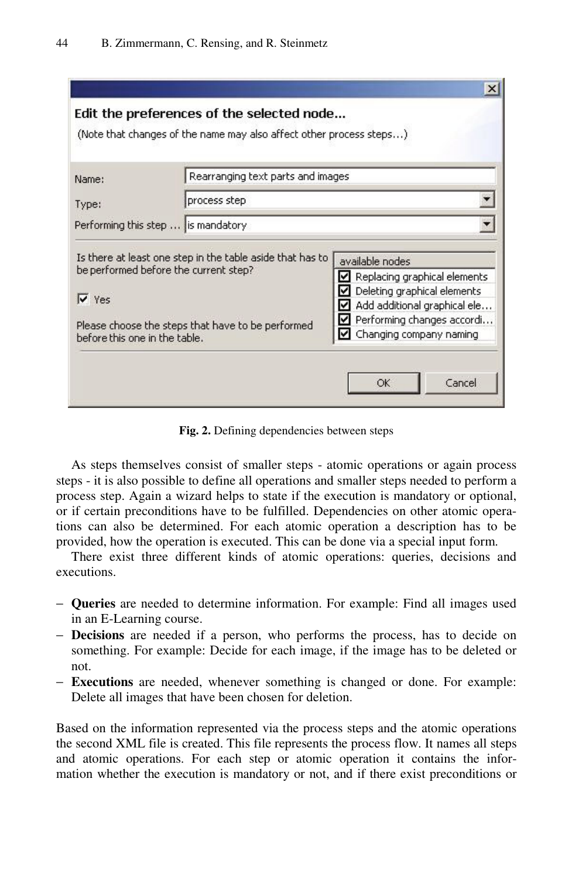|                             | (Note that changes of the name may also affect other process steps)                                                                                                                      |                                                                                                                                                                         |
|-----------------------------|------------------------------------------------------------------------------------------------------------------------------------------------------------------------------------------|-------------------------------------------------------------------------------------------------------------------------------------------------------------------------|
| Name:                       | Rearranging text parts and images                                                                                                                                                        |                                                                                                                                                                         |
| Type:                       | process step                                                                                                                                                                             |                                                                                                                                                                         |
|                             | Performing this step  is mandatory                                                                                                                                                       |                                                                                                                                                                         |
| $\overline{\mathsf{v}}$ Yes | Is there at least one step in the table aside that has to<br>be performed before the current step?<br>Please choose the steps that have to be performed<br>before this one in the table. | available nodes<br>Replacing graphical elements<br>Deleting graphical elements<br>Add additional graphical ele<br>Performing changes accordi<br>Changing company naming |

**Fig. 2.** Defining dependencies between steps

As steps themselves consist of smaller steps - atomic operations or again process steps - it is also possible to define all operations and smaller steps needed to perform a process step. Again a wizard helps to state if the execution is mandatory or optional, or if certain preconditions have to be fulfilled. Dependencies on other atomic operations can also be determined. For each atomic operation a description has to be provided, how the operation is executed. This can be done via a special input form.

There exist three different kinds of atomic operations: queries, decisions and executions.

- − **Queries** are needed to determine information. For example: Find all images used in an E-Learning course.
- − **Decisions** are needed if a person, who performs the process, has to decide on something. For example: Decide for each image, if the image has to be deleted or not.
- − **Executions** are needed, whenever something is changed or done. For example: Delete all images that have been chosen for deletion.

Based on the information represented via the process steps and the atomic operations the second XML file is created. This file represents the process flow. It names all steps and atomic operations. For each step or atomic operation it contains the information whether the execution is mandatory or not, and if there exist preconditions or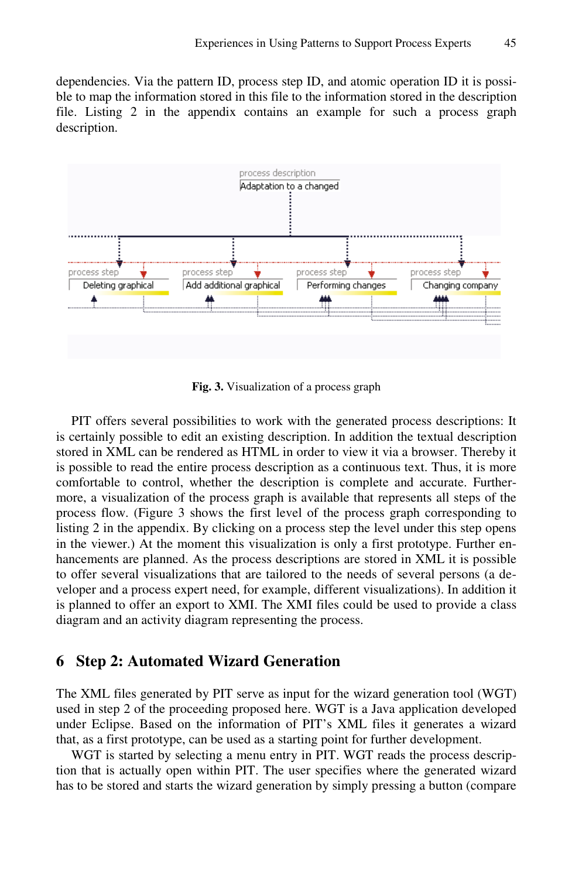dependencies. Via the pattern ID, process step ID, and atomic operation ID it is possible to map the information stored in this file to the information stored in the description file. Listing 2 in the appendix contains an example for such a process graph description.



**Fig. 3.** Visualization of a process graph

PIT offers several possibilities to work with the generated process descriptions: It is certainly possible to edit an existing description. In addition the textual description stored in XML can be rendered as HTML in order to view it via a browser. Thereby it is possible to read the entire process description as a continuous text. Thus, it is more comfortable to control, whether the description is complete and accurate. Furthermore, a visualization of the process graph is available that represents all steps of the process flow. (Figure 3 shows the first level of the process graph corresponding to listing 2 in the appendix. By clicking on a process step the level under this step opens in the viewer.) At the moment this visualization is only a first prototype. Further enhancements are planned. As the process descriptions are stored in XML it is possible to offer several visualizations that are tailored to the needs of several persons (a developer and a process expert need, for example, different visualizations). In addition it is planned to offer an export to XMI. The XMI files could be used to provide a class diagram and an activity diagram representing the process.

### **6 Step 2: Automated Wizard Generation**

The XML files generated by PIT serve as input for the wizard generation tool (WGT) used in step 2 of the proceeding proposed here. WGT is a Java application developed under Eclipse. Based on the information of PIT's XML files it generates a wizard that, as a first prototype, can be used as a starting point for further development.

WGT is started by selecting a menu entry in PIT. WGT reads the process description that is actually open within PIT. The user specifies where the generated wizard has to be stored and starts the wizard generation by simply pressing a button (compare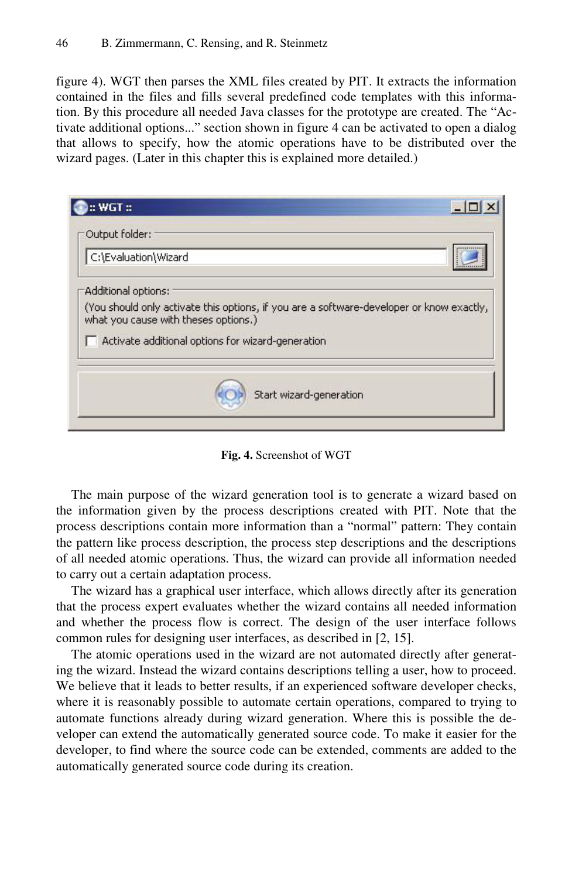figure 4). WGT then parses the XML files created by PIT. It extracts the information contained in the files and fills several predefined code templates with this information. By this procedure all needed Java classes for the prototype are created. The "Activate additional options..." section shown in figure 4 can be activated to open a dialog that allows to specify, how the atomic operations have to be distributed over the wizard pages. (Later in this chapter this is explained more detailed.)



**Fig. 4.** Screenshot of WGT

The main purpose of the wizard generation tool is to generate a wizard based on the information given by the process descriptions created with PIT. Note that the process descriptions contain more information than a "normal" pattern: They contain the pattern like process description, the process step descriptions and the descriptions of all needed atomic operations. Thus, the wizard can provide all information needed to carry out a certain adaptation process.

The wizard has a graphical user interface, which allows directly after its generation that the process expert evaluates whether the wizard contains all needed information and whether the process flow is correct. The design of the user interface follows common rules for designing user interfaces, as described in [2, 15].

The atomic operations used in the wizard are not automated directly after generating the wizard. Instead the wizard contains descriptions telling a user, how to proceed. We believe that it leads to better results, if an experienced software developer checks, where it is reasonably possible to automate certain operations, compared to trying to automate functions already during wizard generation. Where this is possible the developer can extend the automatically generated source code. To make it easier for the developer, to find where the source code can be extended, comments are added to the automatically generated source code during its creation.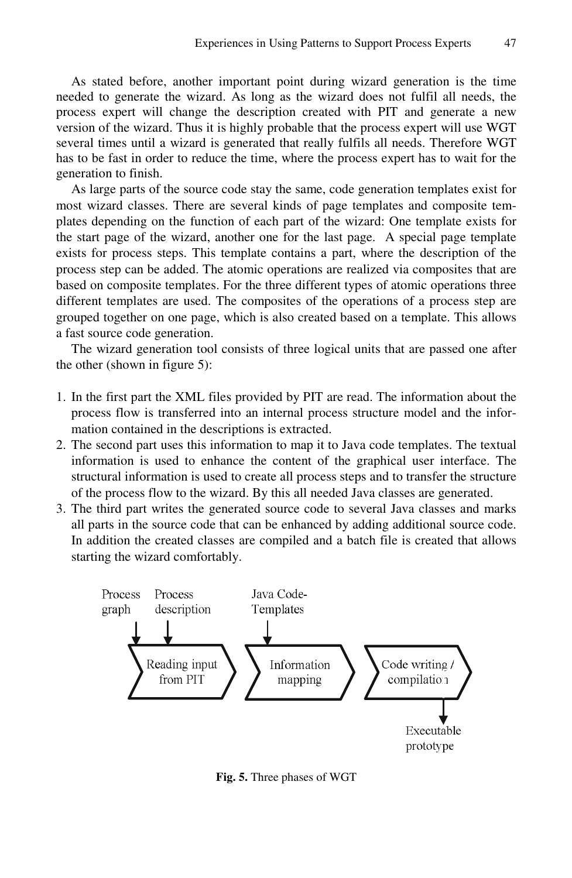As stated before, another important point during wizard generation is the time needed to generate the wizard. As long as the wizard does not fulfil all needs, the process expert will change the description created with PIT and generate a new version of the wizard. Thus it is highly probable that the process expert will use WGT several times until a wizard is generated that really fulfils all needs. Therefore WGT has to be fast in order to reduce the time, where the process expert has to wait for the generation to finish.

As large parts of the source code stay the same, code generation templates exist for most wizard classes. There are several kinds of page templates and composite templates depending on the function of each part of the wizard: One template exists for the start page of the wizard, another one for the last page. A special page template exists for process steps. This template contains a part, where the description of the process step can be added. The atomic operations are realized via composites that are based on composite templates. For the three different types of atomic operations three different templates are used. The composites of the operations of a process step are grouped together on one page, which is also created based on a template. This allows a fast source code generation.

The wizard generation tool consists of three logical units that are passed one after the other (shown in figure 5):

- 1. In the first part the XML files provided by PIT are read. The information about the process flow is transferred into an internal process structure model and the information contained in the descriptions is extracted.
- 2. The second part uses this information to map it to Java code templates. The textual information is used to enhance the content of the graphical user interface. The structural information is used to create all process steps and to transfer the structure of the process flow to the wizard. By this all needed Java classes are generated.
- 3. The third part writes the generated source code to several Java classes and marks all parts in the source code that can be enhanced by adding additional source code. In addition the created classes are compiled and a batch file is created that allows starting the wizard comfortably.



**Fig. 5.** Three phases of WGT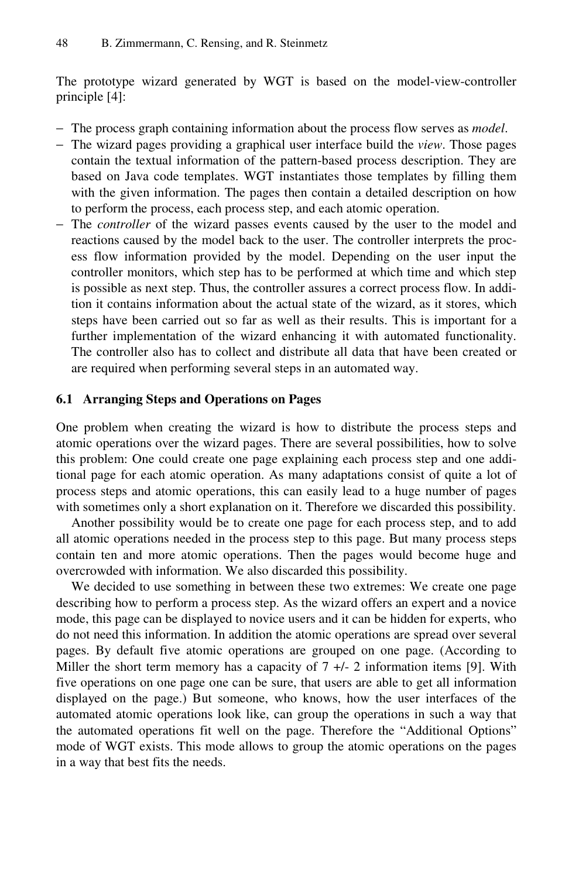The prototype wizard generated by WGT is based on the model-view-controller principle [4]:

- − The process graph containing information about the process flow serves as *model*.
- − The wizard pages providing a graphical user interface build the *view*. Those pages contain the textual information of the pattern-based process description. They are based on Java code templates. WGT instantiates those templates by filling them with the given information. The pages then contain a detailed description on how to perform the process, each process step, and each atomic operation.
- − The *controller* of the wizard passes events caused by the user to the model and reactions caused by the model back to the user. The controller interprets the process flow information provided by the model. Depending on the user input the controller monitors, which step has to be performed at which time and which step is possible as next step. Thus, the controller assures a correct process flow. In addition it contains information about the actual state of the wizard, as it stores, which steps have been carried out so far as well as their results. This is important for a further implementation of the wizard enhancing it with automated functionality. The controller also has to collect and distribute all data that have been created or are required when performing several steps in an automated way.

#### **6.1 Arranging Steps and Operations on Pages**

One problem when creating the wizard is how to distribute the process steps and atomic operations over the wizard pages. There are several possibilities, how to solve this problem: One could create one page explaining each process step and one additional page for each atomic operation. As many adaptations consist of quite a lot of process steps and atomic operations, this can easily lead to a huge number of pages with sometimes only a short explanation on it. Therefore we discarded this possibility.

Another possibility would be to create one page for each process step, and to add all atomic operations needed in the process step to this page. But many process steps contain ten and more atomic operations. Then the pages would become huge and overcrowded with information. We also discarded this possibility.

We decided to use something in between these two extremes: We create one page describing how to perform a process step. As the wizard offers an expert and a novice mode, this page can be displayed to novice users and it can be hidden for experts, who do not need this information. In addition the atomic operations are spread over several pages. By default five atomic operations are grouped on one page. (According to Miller the short term memory has a capacity of  $7 +1$ - 2 information items [9]. With five operations on one page one can be sure, that users are able to get all information displayed on the page.) But someone, who knows, how the user interfaces of the automated atomic operations look like, can group the operations in such a way that the automated operations fit well on the page. Therefore the "Additional Options" mode of WGT exists. This mode allows to group the atomic operations on the pages in a way that best fits the needs.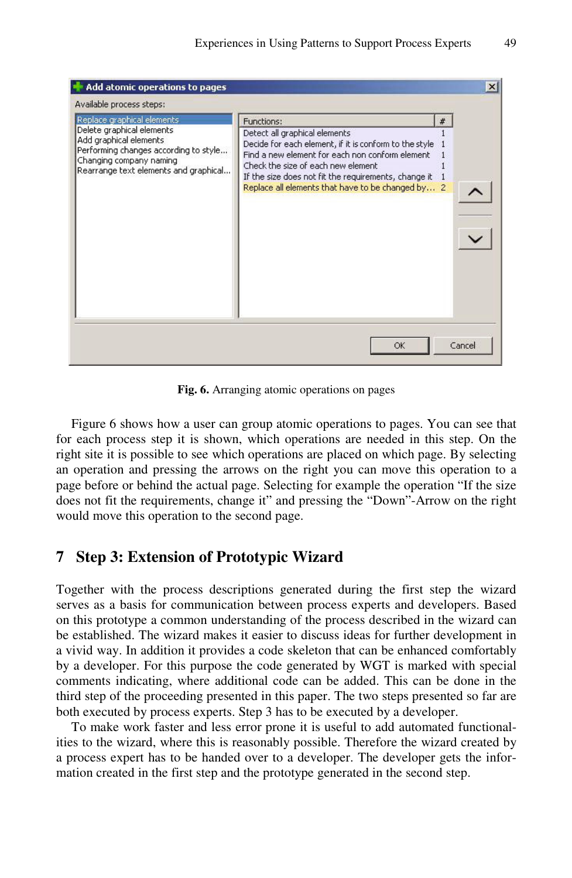| #<br>Detect all graphical elements                                                                                                              |                                                                                                           |
|-------------------------------------------------------------------------------------------------------------------------------------------------|-----------------------------------------------------------------------------------------------------------|
| Decide for each element, if it is conform to the style<br>Find a new element for each non conform element<br>Check the size of each new element |                                                                                                           |
|                                                                                                                                                 | If the size does not fit the requirements, change it<br>Replace all elements that have to be changed by 2 |

**Fig. 6.** Arranging atomic operations on pages

Figure 6 shows how a user can group atomic operations to pages. You can see that for each process step it is shown, which operations are needed in this step. On the right site it is possible to see which operations are placed on which page. By selecting an operation and pressing the arrows on the right you can move this operation to a page before or behind the actual page. Selecting for example the operation "If the size does not fit the requirements, change it" and pressing the "Down"-Arrow on the right would move this operation to the second page.

# **7 Step 3: Extension of Prototypic Wizard**

Together with the process descriptions generated during the first step the wizard serves as a basis for communication between process experts and developers. Based on this prototype a common understanding of the process described in the wizard can be established. The wizard makes it easier to discuss ideas for further development in a vivid way. In addition it provides a code skeleton that can be enhanced comfortably by a developer. For this purpose the code generated by WGT is marked with special comments indicating, where additional code can be added. This can be done in the third step of the proceeding presented in this paper. The two steps presented so far are both executed by process experts. Step 3 has to be executed by a developer.

To make work faster and less error prone it is useful to add automated functionalities to the wizard, where this is reasonably possible. Therefore the wizard created by a process expert has to be handed over to a developer. The developer gets the information created in the first step and the prototype generated in the second step.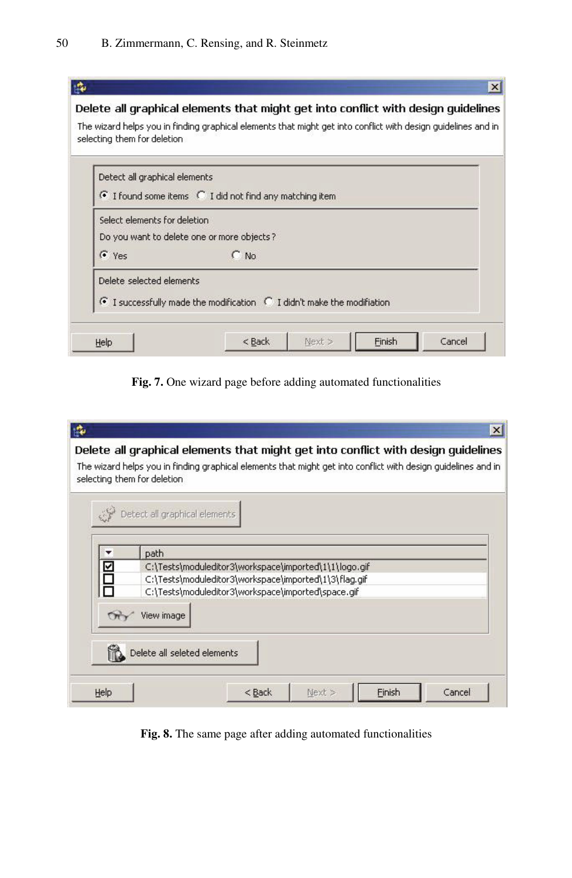| Detect all graphical elements |                                                          |
|-------------------------------|----------------------------------------------------------|
|                               | • I found some items  ← I did not find any matching item |
| Select elements for deletion  |                                                          |
|                               | Do you want to delete one or more objects?               |
| $G$ Yes                       | $\subset$ No.                                            |

--÷.

**Fig. 7.** One wizard page before adding automated functionalities

|   | Detect all graphical elements                                 |
|---|---------------------------------------------------------------|
|   |                                                               |
|   | path<br>C:\Tests\moduleditor3\workspace\imported\1\1\logo.gif |
| ⊵ | C:\Tests\moduleditor3\workspace\imported\1\3\flag.gif         |
|   | C:\Tests\moduleditor3\workspace\imported\space.gif            |
|   |                                                               |
|   | View image                                                    |

Fig. 8. The same page after adding automated functionalities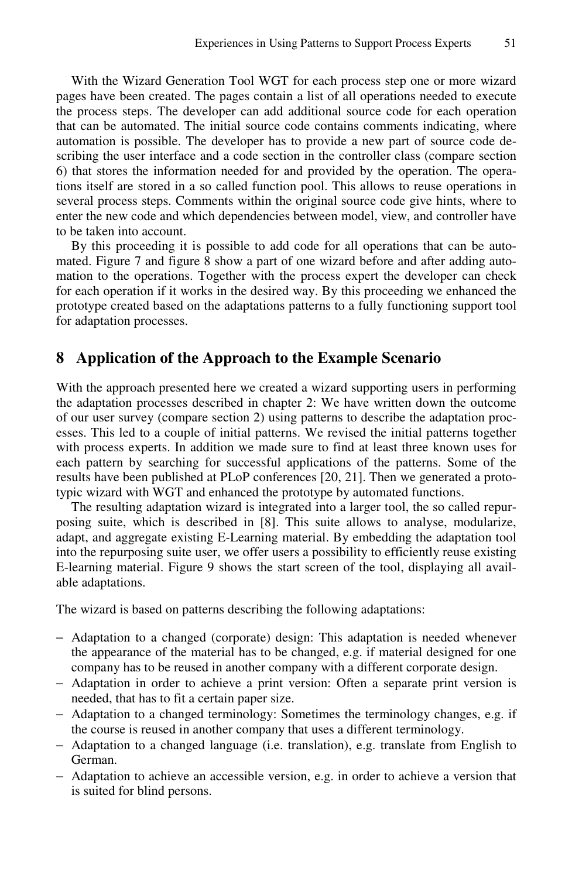With the Wizard Generation Tool WGT for each process step one or more wizard pages have been created. The pages contain a list of all operations needed to execute the process steps. The developer can add additional source code for each operation that can be automated. The initial source code contains comments indicating, where automation is possible. The developer has to provide a new part of source code describing the user interface and a code section in the controller class (compare section 6) that stores the information needed for and provided by the operation. The operations itself are stored in a so called function pool. This allows to reuse operations in several process steps. Comments within the original source code give hints, where to enter the new code and which dependencies between model, view, and controller have to be taken into account.

By this proceeding it is possible to add code for all operations that can be automated. Figure 7 and figure 8 show a part of one wizard before and after adding automation to the operations. Together with the process expert the developer can check for each operation if it works in the desired way. By this proceeding we enhanced the prototype created based on the adaptations patterns to a fully functioning support tool for adaptation processes.

# **8 Application of the Approach to the Example Scenario**

With the approach presented here we created a wizard supporting users in performing the adaptation processes described in chapter 2: We have written down the outcome of our user survey (compare section 2) using patterns to describe the adaptation processes. This led to a couple of initial patterns. We revised the initial patterns together with process experts. In addition we made sure to find at least three known uses for each pattern by searching for successful applications of the patterns. Some of the results have been published at PLoP conferences [20, 21]. Then we generated a prototypic wizard with WGT and enhanced the prototype by automated functions.

The resulting adaptation wizard is integrated into a larger tool, the so called repurposing suite, which is described in [8]. This suite allows to analyse, modularize, adapt, and aggregate existing E-Learning material. By embedding the adaptation tool into the repurposing suite user, we offer users a possibility to efficiently reuse existing E-learning material. Figure 9 shows the start screen of the tool, displaying all available adaptations.

The wizard is based on patterns describing the following adaptations:

- − Adaptation to a changed (corporate) design: This adaptation is needed whenever the appearance of the material has to be changed, e.g. if material designed for one company has to be reused in another company with a different corporate design.
- − Adaptation in order to achieve a print version: Often a separate print version is needed, that has to fit a certain paper size.
- − Adaptation to a changed terminology: Sometimes the terminology changes, e.g. if the course is reused in another company that uses a different terminology.
- − Adaptation to a changed language (i.e. translation), e.g. translate from English to German.
- − Adaptation to achieve an accessible version, e.g. in order to achieve a version that is suited for blind persons.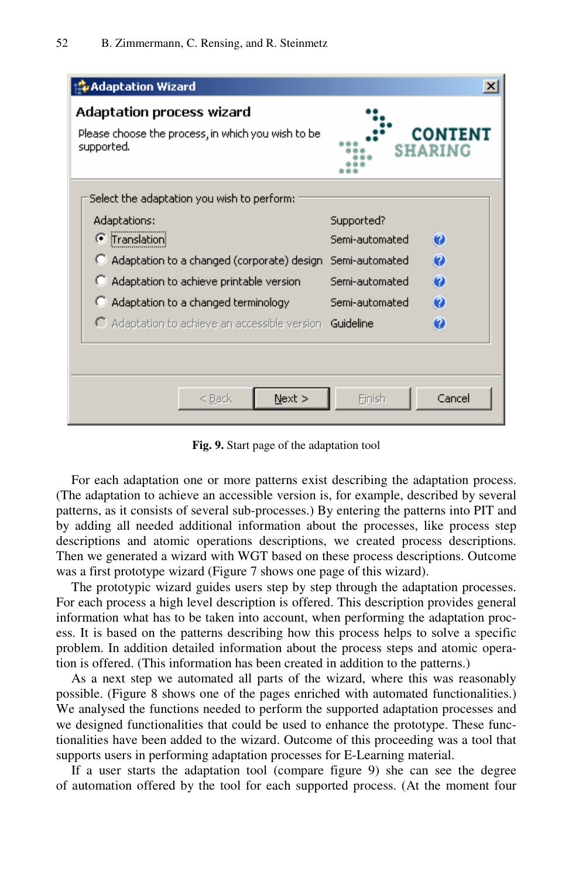| Adaptation Wizard                                                                             | ×                                |
|-----------------------------------------------------------------------------------------------|----------------------------------|
| Adaptation process wizard<br>Please choose the process, in which you wish to be<br>supported. | <b>CONTENT</b><br><b>SHARING</b> |
| Select the adaptation you wish to perform:                                                    |                                  |
| Adaptations:                                                                                  | Supported?                       |
| ● Translation                                                                                 | Ø<br>Semi-automated              |
| Adaptation to a changed (corporate) design                                                    | Ø<br>Semi-automated              |
| Adaptation to achieve printable version<br>o                                                  | Ø<br>Semi-automated              |
| Adaptation to a changed terminology                                                           | Ø<br>Semi-automated              |
| C Adaptation to achieve an accessible version Guideline                                       | Ø                                |
| $N$ ext ><br>< <u>B</u> ack                                                                   | Cancel<br>Finish                 |

**Fig. 9.** Start page of the adaptation tool

For each adaptation one or more patterns exist describing the adaptation process. (The adaptation to achieve an accessible version is, for example, described by several patterns, as it consists of several sub-processes.) By entering the patterns into PIT and by adding all needed additional information about the processes, like process step descriptions and atomic operations descriptions, we created process descriptions. Then we generated a wizard with WGT based on these process descriptions. Outcome was a first prototype wizard (Figure 7 shows one page of this wizard).

The prototypic wizard guides users step by step through the adaptation processes. For each process a high level description is offered. This description provides general information what has to be taken into account, when performing the adaptation process. It is based on the patterns describing how this process helps to solve a specific problem. In addition detailed information about the process steps and atomic operation is offered. (This information has been created in addition to the patterns.)

As a next step we automated all parts of the wizard, where this was reasonably possible. (Figure 8 shows one of the pages enriched with automated functionalities.) We analysed the functions needed to perform the supported adaptation processes and we designed functionalities that could be used to enhance the prototype. These functionalities have been added to the wizard. Outcome of this proceeding was a tool that supports users in performing adaptation processes for E-Learning material.

If a user starts the adaptation tool (compare figure 9) she can see the degree of automation offered by the tool for each supported process. (At the moment four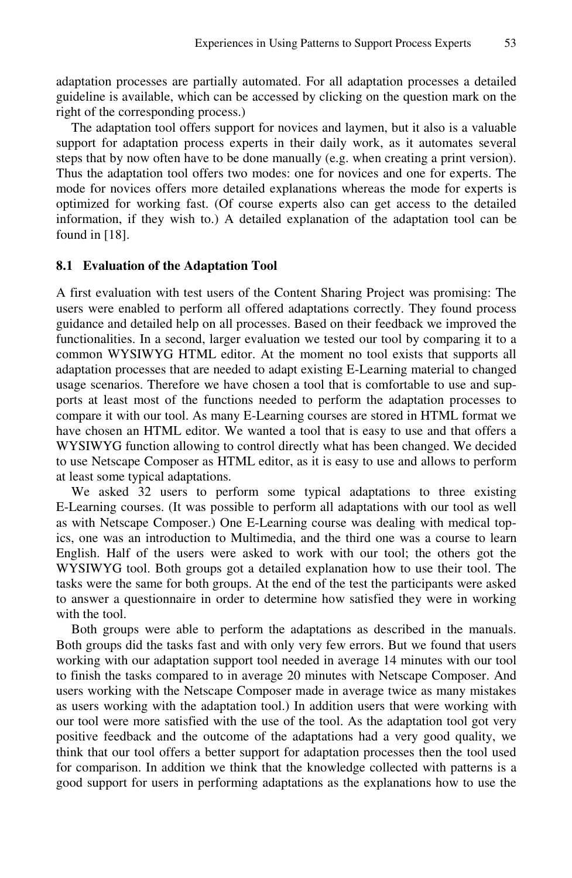adaptation processes are partially automated. For all adaptation processes a detailed guideline is available, which can be accessed by clicking on the question mark on the right of the corresponding process.)

The adaptation tool offers support for novices and laymen, but it also is a valuable support for adaptation process experts in their daily work, as it automates several steps that by now often have to be done manually (e.g. when creating a print version). Thus the adaptation tool offers two modes: one for novices and one for experts. The mode for novices offers more detailed explanations whereas the mode for experts is optimized for working fast. (Of course experts also can get access to the detailed information, if they wish to.) A detailed explanation of the adaptation tool can be found in [18].

#### **8.1 Evaluation of the Adaptation Tool**

A first evaluation with test users of the Content Sharing Project was promising: The users were enabled to perform all offered adaptations correctly. They found process guidance and detailed help on all processes. Based on their feedback we improved the functionalities. In a second, larger evaluation we tested our tool by comparing it to a common WYSIWYG HTML editor. At the moment no tool exists that supports all adaptation processes that are needed to adapt existing E-Learning material to changed usage scenarios. Therefore we have chosen a tool that is comfortable to use and supports at least most of the functions needed to perform the adaptation processes to compare it with our tool. As many E-Learning courses are stored in HTML format we have chosen an HTML editor. We wanted a tool that is easy to use and that offers a WYSIWYG function allowing to control directly what has been changed. We decided to use Netscape Composer as HTML editor, as it is easy to use and allows to perform at least some typical adaptations.

We asked 32 users to perform some typical adaptations to three existing E-Learning courses. (It was possible to perform all adaptations with our tool as well as with Netscape Composer.) One E-Learning course was dealing with medical topics, one was an introduction to Multimedia, and the third one was a course to learn English. Half of the users were asked to work with our tool; the others got the WYSIWYG tool. Both groups got a detailed explanation how to use their tool. The tasks were the same for both groups. At the end of the test the participants were asked to answer a questionnaire in order to determine how satisfied they were in working with the tool.

Both groups were able to perform the adaptations as described in the manuals. Both groups did the tasks fast and with only very few errors. But we found that users working with our adaptation support tool needed in average 14 minutes with our tool to finish the tasks compared to in average 20 minutes with Netscape Composer. And users working with the Netscape Composer made in average twice as many mistakes as users working with the adaptation tool.) In addition users that were working with our tool were more satisfied with the use of the tool. As the adaptation tool got very positive feedback and the outcome of the adaptations had a very good quality, we think that our tool offers a better support for adaptation processes then the tool used for comparison. In addition we think that the knowledge collected with patterns is a good support for users in performing adaptations as the explanations how to use the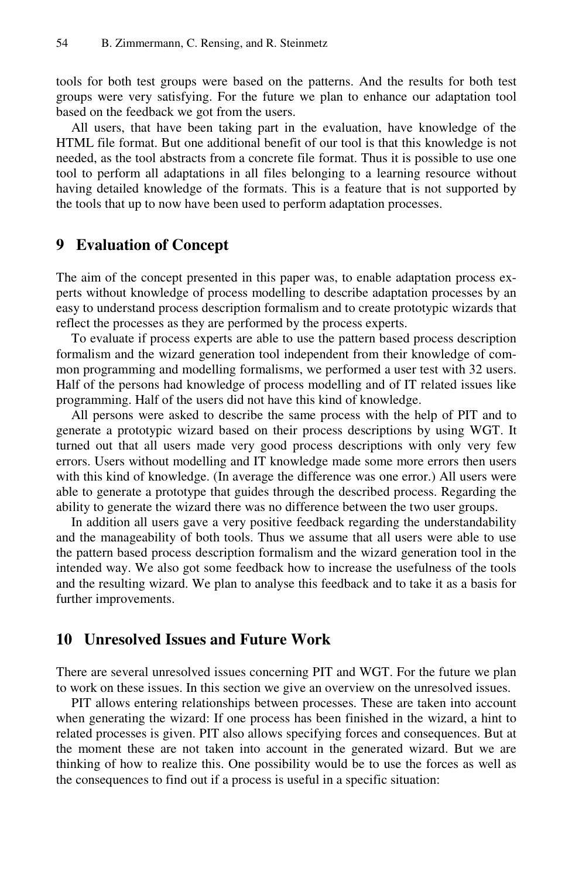tools for both test groups were based on the patterns. And the results for both test groups were very satisfying. For the future we plan to enhance our adaptation tool based on the feedback we got from the users.

All users, that have been taking part in the evaluation, have knowledge of the HTML file format. But one additional benefit of our tool is that this knowledge is not needed, as the tool abstracts from a concrete file format. Thus it is possible to use one tool to perform all adaptations in all files belonging to a learning resource without having detailed knowledge of the formats. This is a feature that is not supported by the tools that up to now have been used to perform adaptation processes.

### **9 Evaluation of Concept**

The aim of the concept presented in this paper was, to enable adaptation process experts without knowledge of process modelling to describe adaptation processes by an easy to understand process description formalism and to create prototypic wizards that reflect the processes as they are performed by the process experts.

To evaluate if process experts are able to use the pattern based process description formalism and the wizard generation tool independent from their knowledge of common programming and modelling formalisms, we performed a user test with 32 users. Half of the persons had knowledge of process modelling and of IT related issues like programming. Half of the users did not have this kind of knowledge.

All persons were asked to describe the same process with the help of PIT and to generate a prototypic wizard based on their process descriptions by using WGT. It turned out that all users made very good process descriptions with only very few errors. Users without modelling and IT knowledge made some more errors then users with this kind of knowledge. (In average the difference was one error.) All users were able to generate a prototype that guides through the described process. Regarding the ability to generate the wizard there was no difference between the two user groups.

In addition all users gave a very positive feedback regarding the understandability and the manageability of both tools. Thus we assume that all users were able to use the pattern based process description formalism and the wizard generation tool in the intended way. We also got some feedback how to increase the usefulness of the tools and the resulting wizard. We plan to analyse this feedback and to take it as a basis for further improvements.

### **10 Unresolved Issues and Future Work**

There are several unresolved issues concerning PIT and WGT. For the future we plan to work on these issues. In this section we give an overview on the unresolved issues.

PIT allows entering relationships between processes. These are taken into account when generating the wizard: If one process has been finished in the wizard, a hint to related processes is given. PIT also allows specifying forces and consequences. But at the moment these are not taken into account in the generated wizard. But we are thinking of how to realize this. One possibility would be to use the forces as well as the consequences to find out if a process is useful in a specific situation: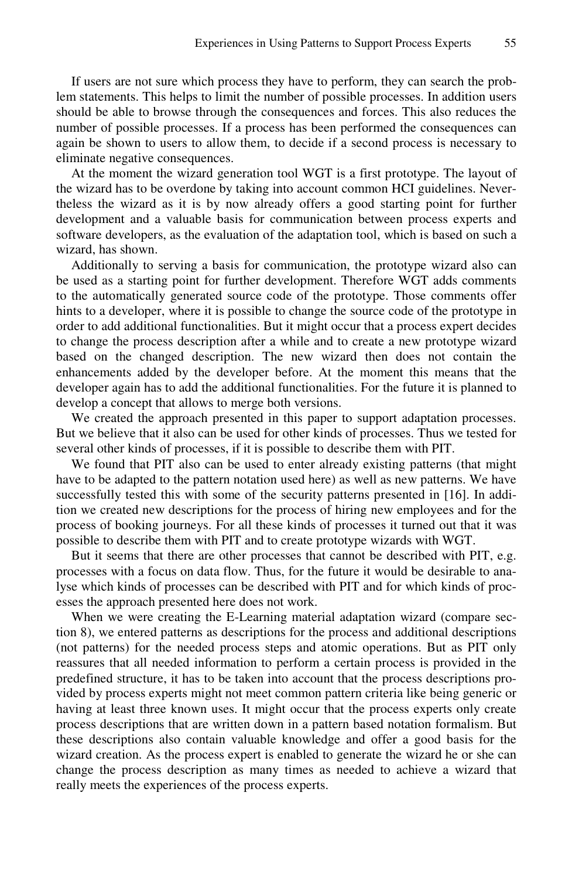If users are not sure which process they have to perform, they can search the problem statements. This helps to limit the number of possible processes. In addition users should be able to browse through the consequences and forces. This also reduces the number of possible processes. If a process has been performed the consequences can again be shown to users to allow them, to decide if a second process is necessary to eliminate negative consequences.

At the moment the wizard generation tool WGT is a first prototype. The layout of the wizard has to be overdone by taking into account common HCI guidelines. Nevertheless the wizard as it is by now already offers a good starting point for further development and a valuable basis for communication between process experts and software developers, as the evaluation of the adaptation tool, which is based on such a wizard, has shown.

Additionally to serving a basis for communication, the prototype wizard also can be used as a starting point for further development. Therefore WGT adds comments to the automatically generated source code of the prototype. Those comments offer hints to a developer, where it is possible to change the source code of the prototype in order to add additional functionalities. But it might occur that a process expert decides to change the process description after a while and to create a new prototype wizard based on the changed description. The new wizard then does not contain the enhancements added by the developer before. At the moment this means that the developer again has to add the additional functionalities. For the future it is planned to develop a concept that allows to merge both versions.

We created the approach presented in this paper to support adaptation processes. But we believe that it also can be used for other kinds of processes. Thus we tested for several other kinds of processes, if it is possible to describe them with PIT.

We found that PIT also can be used to enter already existing patterns (that might have to be adapted to the pattern notation used here) as well as new patterns. We have successfully tested this with some of the security patterns presented in [16]. In addition we created new descriptions for the process of hiring new employees and for the process of booking journeys. For all these kinds of processes it turned out that it was possible to describe them with PIT and to create prototype wizards with WGT.

But it seems that there are other processes that cannot be described with PIT, e.g. processes with a focus on data flow. Thus, for the future it would be desirable to analyse which kinds of processes can be described with PIT and for which kinds of processes the approach presented here does not work.

When we were creating the E-Learning material adaptation wizard (compare section 8), we entered patterns as descriptions for the process and additional descriptions (not patterns) for the needed process steps and atomic operations. But as PIT only reassures that all needed information to perform a certain process is provided in the predefined structure, it has to be taken into account that the process descriptions provided by process experts might not meet common pattern criteria like being generic or having at least three known uses. It might occur that the process experts only create process descriptions that are written down in a pattern based notation formalism. But these descriptions also contain valuable knowledge and offer a good basis for the wizard creation. As the process expert is enabled to generate the wizard he or she can change the process description as many times as needed to achieve a wizard that really meets the experiences of the process experts.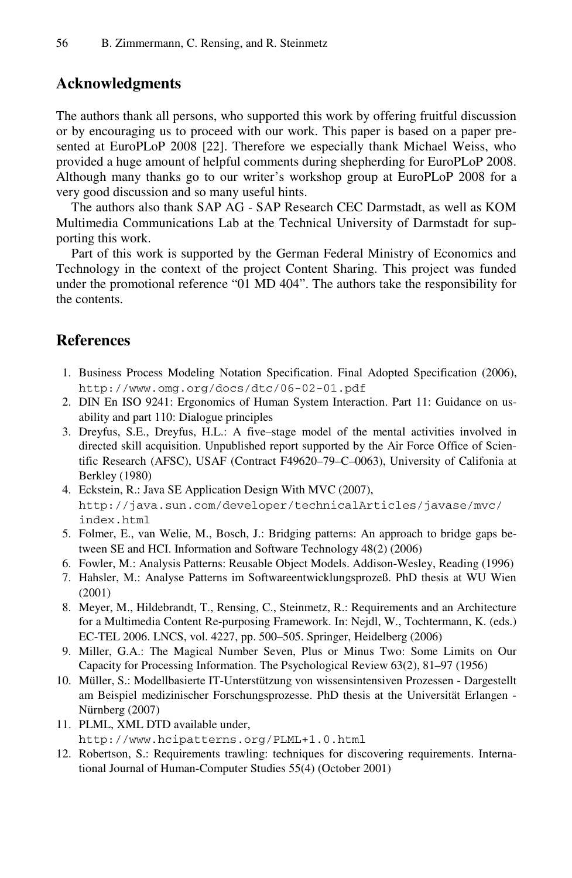# **Acknowledgments**

The authors thank all persons, who supported this work by offering fruitful discussion or by encouraging us to proceed with our work. This paper is based on a paper presented at EuroPLoP 2008 [22]. Therefore we especially thank Michael Weiss, who provided a huge amount of helpful comments during shepherding for EuroPLoP 2008. Although many thanks go to our writer's workshop group at EuroPLoP 2008 for a very good discussion and so many useful hints.

The authors also thank SAP AG - SAP Research CEC Darmstadt, as well as KOM Multimedia Communications Lab at the Technical University of Darmstadt for supporting this work.

Part of this work is supported by the German Federal Ministry of Economics and Technology in the context of the project Content Sharing. This project was funded under the promotional reference "01 MD 404". The authors take the responsibility for the contents.

# **References**

- 1. Business Process Modeling Notation Specification. Final Adopted Specification (2006), http://www.omg.org/docs/dtc/06-02-01.pdf
- 2. DIN En ISO 9241: Ergonomics of Human System Interaction. Part 11: Guidance on usability and part 110: Dialogue principles
- 3. Dreyfus, S.E., Dreyfus, H.L.: A five–stage model of the mental activities involved in directed skill acquisition. Unpublished report supported by the Air Force Office of Scientific Research (AFSC), USAF (Contract F49620–79–C–0063), University of Califonia at Berkley (1980)
- 4. Eckstein, R.: Java SE Application Design With MVC (2007), http://java.sun.com/developer/technicalArticles/javase/mvc/ index.html
- 5. Folmer, E., van Welie, M., Bosch, J.: Bridging patterns: An approach to bridge gaps between SE and HCI. Information and Software Technology 48(2) (2006)
- 6. Fowler, M.: Analysis Patterns: Reusable Object Models. Addison-Wesley, Reading (1996)
- 7. Hahsler, M.: Analyse Patterns im Softwareentwicklungsprozeß. PhD thesis at WU Wien (2001)
- 8. Meyer, M., Hildebrandt, T., Rensing, C., Steinmetz, R.: Requirements and an Architecture for a Multimedia Content Re-purposing Framework. In: Nejdl, W., Tochtermann, K. (eds.) EC-TEL 2006. LNCS, vol. 4227, pp. 500–505. Springer, Heidelberg (2006)
- 9. Miller, G.A.: The Magical Number Seven, Plus or Minus Two: Some Limits on Our Capacity for Processing Information. The Psychological Review 63(2), 81–97 (1956)
- 10. Müller, S.: Modellbasierte IT-Unterstützung von wissensintensiven Prozessen Dargestellt am Beispiel medizinischer Forschungsprozesse. PhD thesis at the Universität Erlangen - Nürnberg (2007)
- 11. PLML, XML DTD available under, http://www.hcipatterns.org/PLML+1.0.html
- 12. Robertson, S.: Requirements trawling: techniques for discovering requirements. International Journal of Human-Computer Studies 55(4) (October 2001)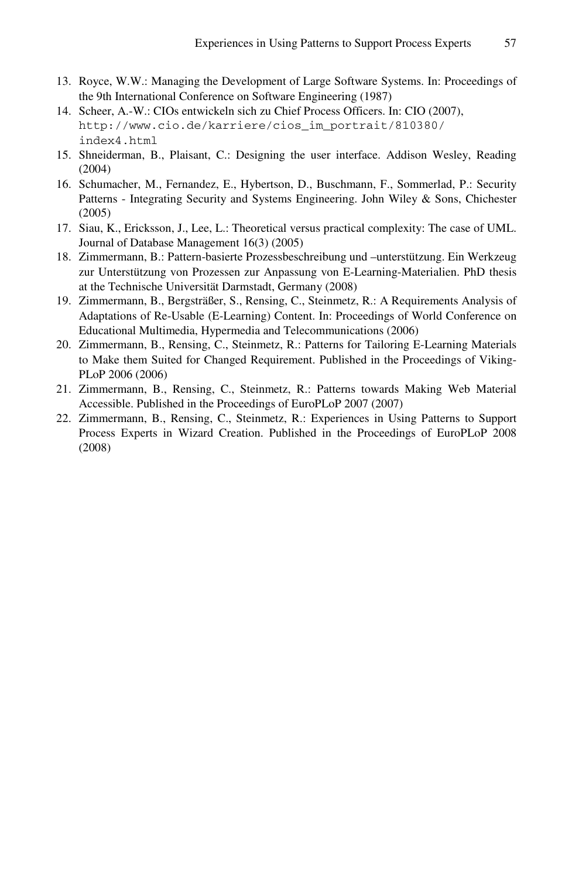- 13. Royce, W.W.: Managing the Development of Large Software Systems. In: Proceedings of the 9th International Conference on Software Engineering (1987)
- 14. Scheer, A.-W.: CIOs entwickeln sich zu Chief Process Officers. In: CIO (2007), http://www.cio.de/karriere/cios\_im\_portrait/810380/ index4.html
- 15. Shneiderman, B., Plaisant, C.: Designing the user interface. Addison Wesley, Reading (2004)
- 16. Schumacher, M., Fernandez, E., Hybertson, D., Buschmann, F., Sommerlad, P.: Security Patterns - Integrating Security and Systems Engineering. John Wiley & Sons, Chichester (2005)
- 17. Siau, K., Ericksson, J., Lee, L.: Theoretical versus practical complexity: The case of UML. Journal of Database Management 16(3) (2005)
- 18. Zimmermann, B.: Pattern-basierte Prozessbeschreibung und –unterstützung. Ein Werkzeug zur Unterstützung von Prozessen zur Anpassung von E-Learning-Materialien. PhD thesis at the Technische Universität Darmstadt, Germany (2008)
- 19. Zimmermann, B., Bergsträßer, S., Rensing, C., Steinmetz, R.: A Requirements Analysis of Adaptations of Re-Usable (E-Learning) Content. In: Proceedings of World Conference on Educational Multimedia, Hypermedia and Telecommunications (2006)
- 20. Zimmermann, B., Rensing, C., Steinmetz, R.: Patterns for Tailoring E-Learning Materials to Make them Suited for Changed Requirement. Published in the Proceedings of Viking-PLoP 2006 (2006)
- 21. Zimmermann, B., Rensing, C., Steinmetz, R.: Patterns towards Making Web Material Accessible. Published in the Proceedings of EuroPLoP 2007 (2007)
- 22. Zimmermann, B., Rensing, C., Steinmetz, R.: Experiences in Using Patterns to Support Process Experts in Wizard Creation. Published in the Proceedings of EuroPLoP 2008 (2008)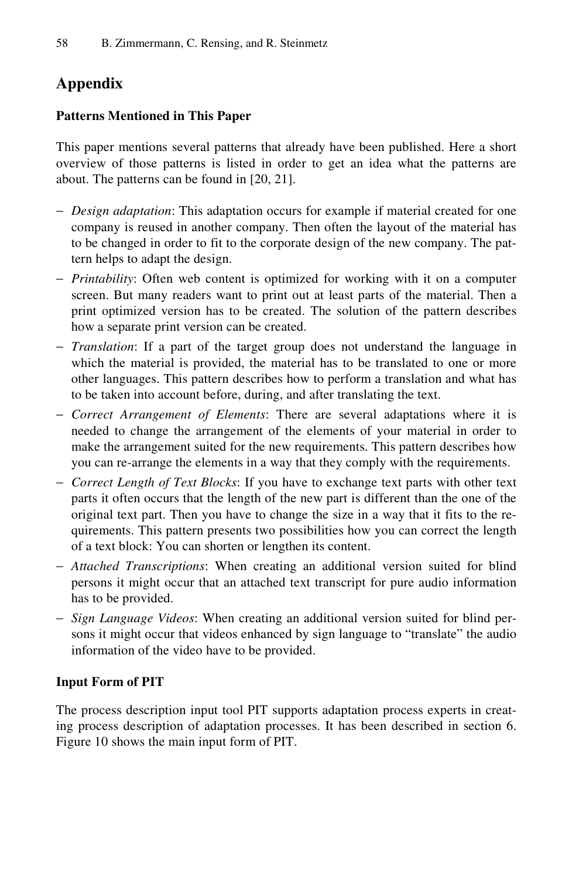# **Appendix**

## **Patterns Mentioned in This Paper**

This paper mentions several patterns that already have been published. Here a short overview of those patterns is listed in order to get an idea what the patterns are about. The patterns can be found in [20, 21].

- − *Design adaptation*: This adaptation occurs for example if material created for one company is reused in another company. Then often the layout of the material has to be changed in order to fit to the corporate design of the new company. The pattern helps to adapt the design.
- − *Printability*: Often web content is optimized for working with it on a computer screen. But many readers want to print out at least parts of the material. Then a print optimized version has to be created. The solution of the pattern describes how a separate print version can be created.
- − *Translation*: If a part of the target group does not understand the language in which the material is provided, the material has to be translated to one or more other languages. This pattern describes how to perform a translation and what has to be taken into account before, during, and after translating the text.
- − *Correct Arrangement of Elements*: There are several adaptations where it is needed to change the arrangement of the elements of your material in order to make the arrangement suited for the new requirements. This pattern describes how you can re-arrange the elements in a way that they comply with the requirements.
- − *Correct Length of Text Blocks*: If you have to exchange text parts with other text parts it often occurs that the length of the new part is different than the one of the original text part. Then you have to change the size in a way that it fits to the requirements. This pattern presents two possibilities how you can correct the length of a text block: You can shorten or lengthen its content.
- − *Attached Transcriptions*: When creating an additional version suited for blind persons it might occur that an attached text transcript for pure audio information has to be provided.
- − *Sign Language Videos*: When creating an additional version suited for blind persons it might occur that videos enhanced by sign language to "translate" the audio information of the video have to be provided.

### **Input Form of PIT**

The process description input tool PIT supports adaptation process experts in creating process description of adaptation processes. It has been described in section 6. Figure 10 shows the main input form of PIT.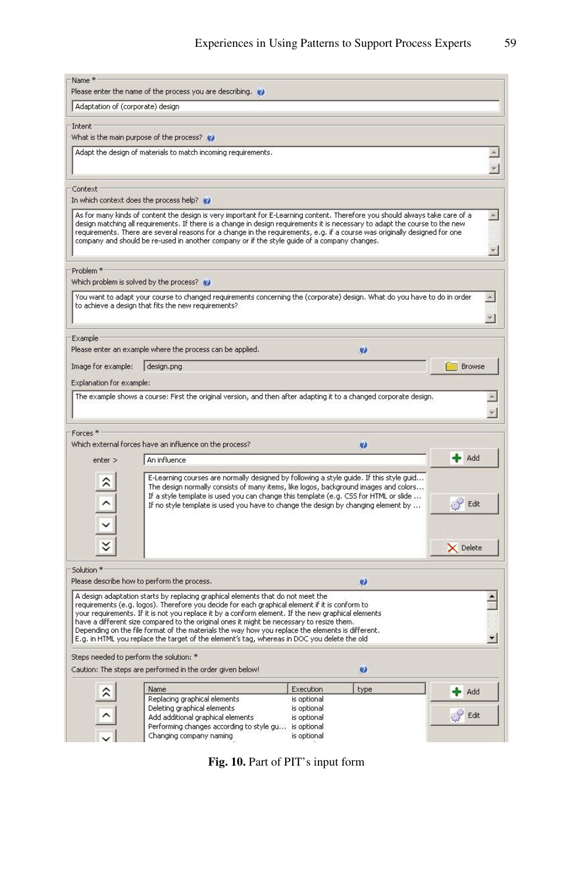| Name *-                                      | Please enter the name of the process you are describing. $\bullet$                                                                                                                                                                                                                                                                                                                                                                                                                                                                                                                      |                                                                                                                                                                                                                                                                                                                                                                                            |                 |
|----------------------------------------------|-----------------------------------------------------------------------------------------------------------------------------------------------------------------------------------------------------------------------------------------------------------------------------------------------------------------------------------------------------------------------------------------------------------------------------------------------------------------------------------------------------------------------------------------------------------------------------------------|--------------------------------------------------------------------------------------------------------------------------------------------------------------------------------------------------------------------------------------------------------------------------------------------------------------------------------------------------------------------------------------------|-----------------|
| Adaptation of (corporate) design             |                                                                                                                                                                                                                                                                                                                                                                                                                                                                                                                                                                                         |                                                                                                                                                                                                                                                                                                                                                                                            |                 |
| Intent                                       |                                                                                                                                                                                                                                                                                                                                                                                                                                                                                                                                                                                         |                                                                                                                                                                                                                                                                                                                                                                                            |                 |
|                                              | What is the main purpose of the process? (2)                                                                                                                                                                                                                                                                                                                                                                                                                                                                                                                                            |                                                                                                                                                                                                                                                                                                                                                                                            |                 |
|                                              | Adapt the design of materials to match incoming requirements.                                                                                                                                                                                                                                                                                                                                                                                                                                                                                                                           |                                                                                                                                                                                                                                                                                                                                                                                            |                 |
|                                              |                                                                                                                                                                                                                                                                                                                                                                                                                                                                                                                                                                                         |                                                                                                                                                                                                                                                                                                                                                                                            |                 |
| Context                                      | In which context does the process help? $\bigcirc$                                                                                                                                                                                                                                                                                                                                                                                                                                                                                                                                      |                                                                                                                                                                                                                                                                                                                                                                                            |                 |
|                                              | company and should be re-used in another company or if the style guide of a company changes.                                                                                                                                                                                                                                                                                                                                                                                                                                                                                            | As for many kinds of content the design is very important for E-Learning content. Therefore you should always take care of a<br>design matching all requirements. If there is a change in design requirements it is necessary to adapt the course to the new<br>requirements. There are several reasons for a change in the requirements, e.g. if a course was originally designed for one | ×               |
| Problem <sup>*</sup>                         |                                                                                                                                                                                                                                                                                                                                                                                                                                                                                                                                                                                         |                                                                                                                                                                                                                                                                                                                                                                                            |                 |
|                                              | Which problem is solved by the process? (a)                                                                                                                                                                                                                                                                                                                                                                                                                                                                                                                                             |                                                                                                                                                                                                                                                                                                                                                                                            |                 |
|                                              | to achieve a design that fits the new requirements?                                                                                                                                                                                                                                                                                                                                                                                                                                                                                                                                     | You want to adapt your course to changed requirements concerning the (corporate) design. What do you have to do in order                                                                                                                                                                                                                                                                   |                 |
| Example                                      |                                                                                                                                                                                                                                                                                                                                                                                                                                                                                                                                                                                         |                                                                                                                                                                                                                                                                                                                                                                                            |                 |
|                                              | Please enter an example where the process can be applied.                                                                                                                                                                                                                                                                                                                                                                                                                                                                                                                               | $\omega$                                                                                                                                                                                                                                                                                                                                                                                   |                 |
| Image for example:                           |                                                                                                                                                                                                                                                                                                                                                                                                                                                                                                                                                                                         |                                                                                                                                                                                                                                                                                                                                                                                            |                 |
|                                              |                                                                                                                                                                                                                                                                                                                                                                                                                                                                                                                                                                                         |                                                                                                                                                                                                                                                                                                                                                                                            |                 |
|                                              | design.png                                                                                                                                                                                                                                                                                                                                                                                                                                                                                                                                                                              |                                                                                                                                                                                                                                                                                                                                                                                            | Browse          |
| Explanation for example:                     |                                                                                                                                                                                                                                                                                                                                                                                                                                                                                                                                                                                         |                                                                                                                                                                                                                                                                                                                                                                                            |                 |
|                                              |                                                                                                                                                                                                                                                                                                                                                                                                                                                                                                                                                                                         | The example shows a course: First the original version, and then after adapting it to a changed corporate design.                                                                                                                                                                                                                                                                          |                 |
|                                              |                                                                                                                                                                                                                                                                                                                                                                                                                                                                                                                                                                                         |                                                                                                                                                                                                                                                                                                                                                                                            |                 |
|                                              |                                                                                                                                                                                                                                                                                                                                                                                                                                                                                                                                                                                         |                                                                                                                                                                                                                                                                                                                                                                                            |                 |
|                                              |                                                                                                                                                                                                                                                                                                                                                                                                                                                                                                                                                                                         |                                                                                                                                                                                                                                                                                                                                                                                            |                 |
|                                              | Which external forces have an influence on the process?                                                                                                                                                                                                                                                                                                                                                                                                                                                                                                                                 | $\omega$                                                                                                                                                                                                                                                                                                                                                                                   |                 |
| enter                                        | An influence                                                                                                                                                                                                                                                                                                                                                                                                                                                                                                                                                                            |                                                                                                                                                                                                                                                                                                                                                                                            | Add             |
|                                              |                                                                                                                                                                                                                                                                                                                                                                                                                                                                                                                                                                                         | E-Learning courses are normally designed by following a style guide. If this style guid<br>The design normally consists of many items, like logos, background images and colors<br>If a style template is used you can change this template (e.g. CSS for HTML or slide<br>If no style template is used you have to change the design by changing element by                               | Edit            |
|                                              |                                                                                                                                                                                                                                                                                                                                                                                                                                                                                                                                                                                         |                                                                                                                                                                                                                                                                                                                                                                                            | $\times$ Delete |
|                                              |                                                                                                                                                                                                                                                                                                                                                                                                                                                                                                                                                                                         |                                                                                                                                                                                                                                                                                                                                                                                            |                 |
|                                              | Please describe how to perform the process.                                                                                                                                                                                                                                                                                                                                                                                                                                                                                                                                             | ø                                                                                                                                                                                                                                                                                                                                                                                          |                 |
|                                              | A design adaptation starts by replacing graphical elements that do not meet the<br>requirements (e.g. logos). Therefore you decide for each graphical element if it is conform to<br>your requirements. If it is not you replace it by a conform element. If the new graphical elements<br>have a different size compared to the original ones it might be necessary to resize them.<br>Depending on the file format of the materials the way how you replace the elements is different.<br>E.g. in HTML you replace the target of the element's tag, whereas in DOC you delete the old |                                                                                                                                                                                                                                                                                                                                                                                            |                 |
| Forces <sup>*</sup><br>Solution <sup>*</sup> |                                                                                                                                                                                                                                                                                                                                                                                                                                                                                                                                                                                         |                                                                                                                                                                                                                                                                                                                                                                                            |                 |
|                                              | Steps needed to perform the solution: *<br>Caution: The steps are performed in the order given below!                                                                                                                                                                                                                                                                                                                                                                                                                                                                                   | $\bullet$                                                                                                                                                                                                                                                                                                                                                                                  |                 |
|                                              | Name                                                                                                                                                                                                                                                                                                                                                                                                                                                                                                                                                                                    | Execution<br>type                                                                                                                                                                                                                                                                                                                                                                          |                 |
|                                              | Replacing graphical elements                                                                                                                                                                                                                                                                                                                                                                                                                                                                                                                                                            | is optional                                                                                                                                                                                                                                                                                                                                                                                | Add             |
|                                              | Deleting graphical elements                                                                                                                                                                                                                                                                                                                                                                                                                                                                                                                                                             | is optional                                                                                                                                                                                                                                                                                                                                                                                |                 |
|                                              | Add additional graphical elements<br>Performing changes according to style gu                                                                                                                                                                                                                                                                                                                                                                                                                                                                                                           | is optional<br>is optional                                                                                                                                                                                                                                                                                                                                                                 | Edit            |

**Fig. 10.** Part of PIT's input form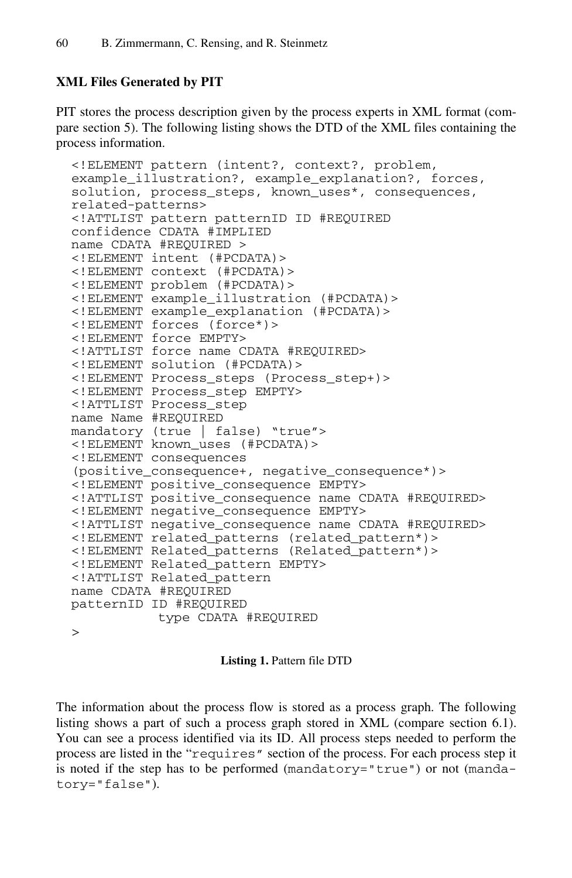#### **XML Files Generated by PIT**

PIT stores the process description given by the process experts in XML format (compare section 5). The following listing shows the DTD of the XML files containing the process information.

```
<!ELEMENT pattern (intent?, context?, problem, 
example_illustration?, example_explanation?, forces, 
solution, process_steps, known_uses*, consequences, 
related-patterns> 
<!ATTLIST pattern patternID ID #REQUIRED 
confidence CDATA #IMPLIED 
name CDATA #REQUIRED > 
<!ELEMENT intent (#PCDATA)> 
<!ELEMENT context (#PCDATA)> 
<!ELEMENT problem (#PCDATA)> 
<!ELEMENT example_illustration (#PCDATA)> 
<!ELEMENT example_explanation (#PCDATA)> 
<!ELEMENT forces (force*)> 
<!ELEMENT force EMPTY> 
<!ATTLIST force name CDATA #REQUIRED> 
<!ELEMENT solution (#PCDATA)> 
<!ELEMENT Process_steps (Process_step+)> 
<!ELEMENT Process_step EMPTY> 
<!ATTLIST Process_step 
name Name #REQUIRED 
mandatory (true | false) "true"> 
<!ELEMENT known_uses (#PCDATA)> 
<!ELEMENT consequences 
(positive_consequence+, negative_consequence*)> 
<!ELEMENT positive_consequence EMPTY> 
<!ATTLIST positive_consequence name CDATA #REQUIRED> 
<!ELEMENT negative_consequence EMPTY> 
<!ATTLIST negative_consequence name CDATA #REQUIRED> 
<!ELEMENT related_patterns (related_pattern*)> 
<!ELEMENT Related_patterns (Related_pattern*)> 
<!ELEMENT Related_pattern EMPTY> 
<!ATTLIST Related_pattern 
name CDATA #REQUIRED 
patternID ID #REQUIRED 
            type CDATA #REQUIRED
```
>

#### **Listing 1.** Pattern file DTD

The information about the process flow is stored as a process graph. The following listing shows a part of such a process graph stored in XML (compare section 6.1). You can see a process identified via its ID. All process steps needed to perform the process are listed in the "requires" section of the process. For each process step it is noted if the step has to be performed (mandatory="true") or not (mandatory="false").